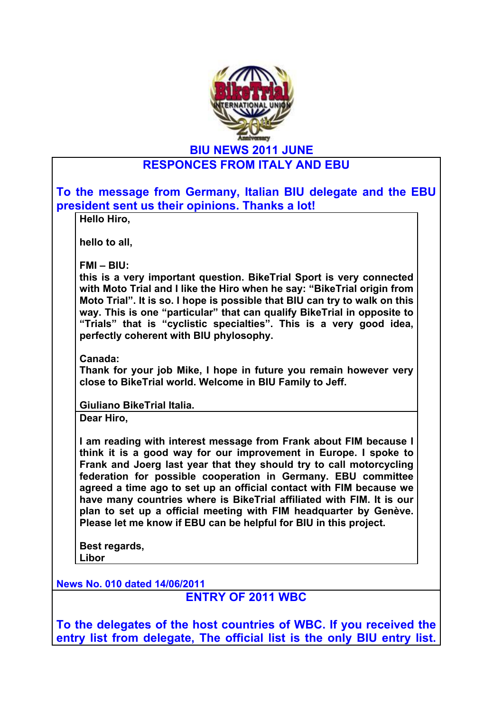

**BIU NEWS 2011 JUNE**

## **RESPONCES FROM ITALY AND EBU**

| president sent us their opinions. Thanks a lot!<br>Hello Hiro,                                                                                                                                                                                                                                                                                                                                                                                                                                                                                                          |
|-------------------------------------------------------------------------------------------------------------------------------------------------------------------------------------------------------------------------------------------------------------------------------------------------------------------------------------------------------------------------------------------------------------------------------------------------------------------------------------------------------------------------------------------------------------------------|
| hello to all,                                                                                                                                                                                                                                                                                                                                                                                                                                                                                                                                                           |
| $FMI - BIU$ :<br>this is a very important question. BikeTrial Sport is very connected<br>with Moto Trial and I like the Hiro when he say: "BikeTrial origin from<br>Moto Trial". It is so. I hope is possible that BIU can try to walk on this<br>way. This is one "particular" that can qualify BikeTrial in opposite to<br>"Trials" that is "cyclistic specialties". This is a very good idea,<br>perfectly coherent with BIU phylosophy.                                                                                                                             |
| Canada:<br>Thank for your job Mike, I hope in future you remain however very<br>close to BikeTrial world. Welcome in BIU Family to Jeff.                                                                                                                                                                                                                                                                                                                                                                                                                                |
| Giuliano BikeTrial Italia.                                                                                                                                                                                                                                                                                                                                                                                                                                                                                                                                              |
| Dear Hiro,                                                                                                                                                                                                                                                                                                                                                                                                                                                                                                                                                              |
| I am reading with interest message from Frank about FIM because I<br>think it is a good way for our improvement in Europe. I spoke to<br>Frank and Joerg last year that they should try to call motorcycling<br>federation for possible cooperation in Germany. EBU committee<br>agreed a time ago to set up an official contact with FIM because we<br>have many countries where is BikeTrial affiliated with FIM. It is our<br>plan to set up a official meeting with FIM headquarter by Genève.<br>Please let me know if EBU can be helpful for BIU in this project. |
| Best regards,                                                                                                                                                                                                                                                                                                                                                                                                                                                                                                                                                           |
| Libor                                                                                                                                                                                                                                                                                                                                                                                                                                                                                                                                                                   |

**ENTRY OF 2011 WBC**

**To the delegates of the host countries of WBC. If you received the**  entry list from delegate, The official list is the only BIU entry list.